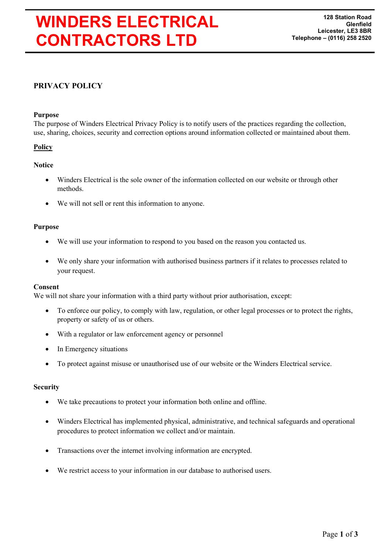# WINDERS ELECTRICAL CONTRACTORS LTD

# PRIVACY POLICY

## Purpose

The purpose of Winders Electrical Privacy Policy is to notify users of the practices regarding the collection, use, sharing, choices, security and correction options around information collected or maintained about them.

# **Policy**

# **Notice**

- Winders Electrical is the sole owner of the information collected on our website or through other methods.
- We will not sell or rent this information to anyone.

#### Purpose

- We will use your information to respond to you based on the reason you contacted us.
- We only share your information with authorised business partners if it relates to processes related to your request.

#### Consent

We will not share your information with a third party without prior authorisation, except:

- To enforce our policy, to comply with law, regulation, or other legal processes or to protect the rights, property or safety of us or others.
- With a regulator or law enforcement agency or personnel
- In Emergency situations
- To protect against misuse or unauthorised use of our website or the Winders Electrical service.

#### **Security**

- We take precautions to protect your information both online and offline.
- Winders Electrical has implemented physical, administrative, and technical safeguards and operational procedures to protect information we collect and/or maintain.
- Transactions over the internet involving information are encrypted.
- We restrict access to your information in our database to authorised users.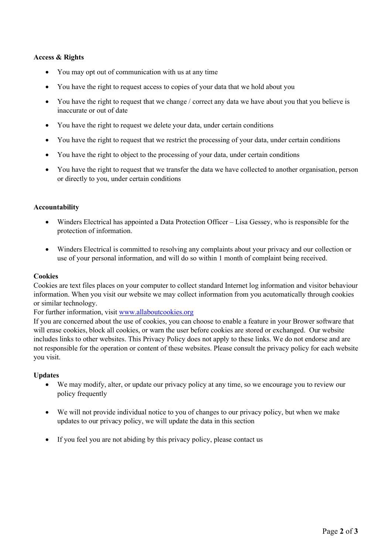## Access & Rights

- You may opt out of communication with us at any time
- You have the right to request access to copies of your data that we hold about you
- You have the right to request that we change / correct any data we have about you that you believe is inaccurate or out of date
- You have the right to request we delete your data, under certain conditions
- You have the right to request that we restrict the processing of your data, under certain conditions
- You have the right to object to the processing of your data, under certain conditions
- You have the right to request that we transfer the data we have collected to another organisation, person or directly to you, under certain conditions

#### Accountability

- Winders Electrical has appointed a Data Protection Officer Lisa Gessey, who is responsible for the protection of information.
- Winders Electrical is committed to resolving any complaints about your privacy and our collection or use of your personal information, and will do so within 1 month of complaint being received.

#### **Cookies**

Cookies are text files places on your computer to collect standard Internet log information and visitor behaviour information. When you visit our website we may collect information from you acutomatically through cookies or similar technology.

For further information, visit www.allaboutcookies.org

If you are concerned about the use of cookies, you can choose to enable a feature in your Brower software that will erase cookies, block all cookies, or warn the user before cookies are stored or exchanged. Our website includes links to other websites. This Privacy Policy does not apply to these links. We do not endorse and are not responsible for the operation or content of these websites. Please consult the privacy policy for each website you visit.

#### Updates

- We may modify, alter, or update our privacy policy at any time, so we encourage you to review our policy frequently
- We will not provide individual notice to you of changes to our privacy policy, but when we make updates to our privacy policy, we will update the data in this section
- If you feel you are not abiding by this privacy policy, please contact us